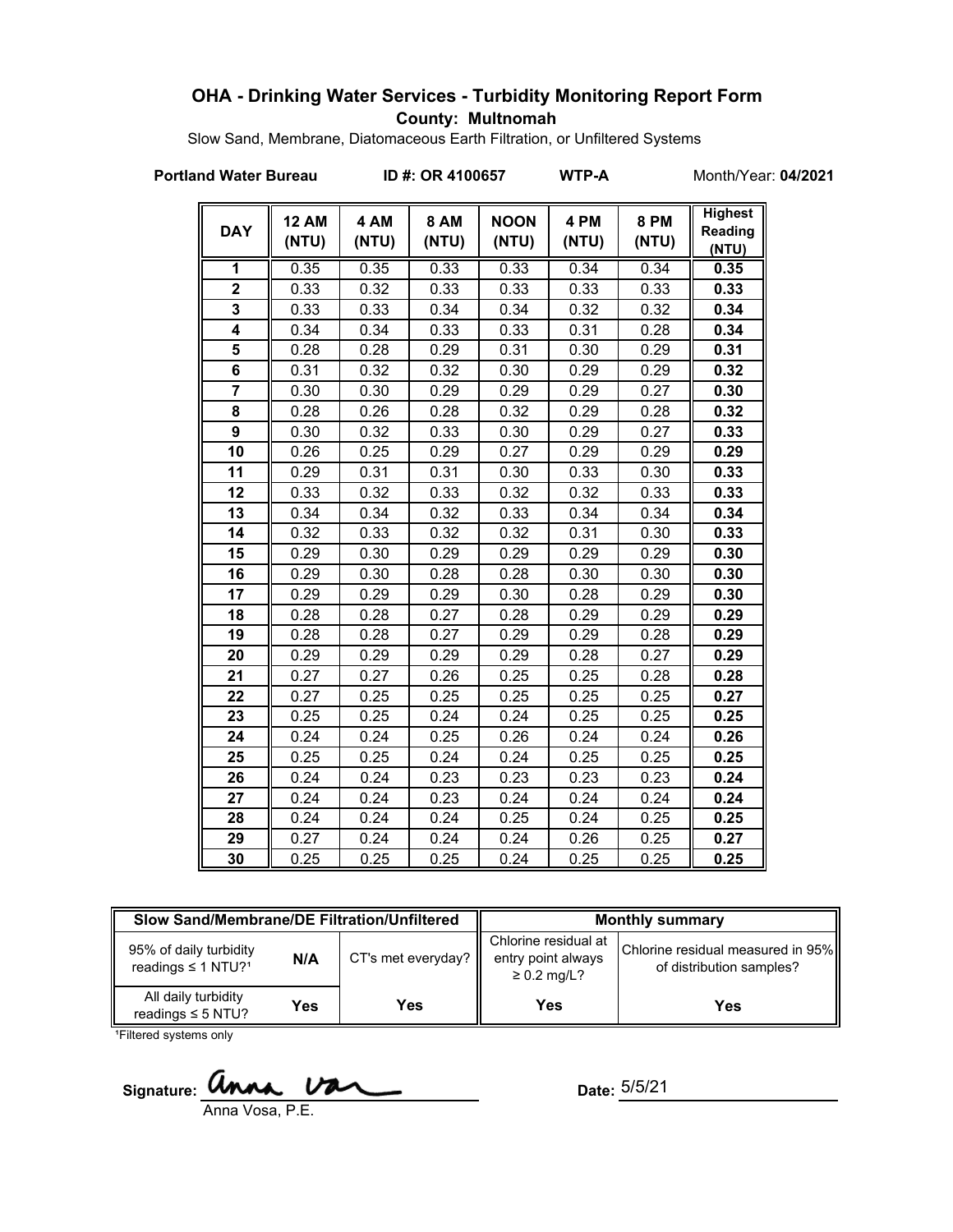### **OHA - Drinking Water Services - Turbidity Monitoring Report Form County: Multnomah**

Slow Sand, Membrane, Diatomaceous Earth Filtration, or Unfiltered Systems

**Portland Water Bureau ID #: OR 4100657 WTP-A** Month/Year: 04/2021

| <b>DAY</b>              | <b>12 AM</b><br>(NTU) | 4 AM<br>(NTU) | <b>8 AM</b><br>(NTU) | <b>NOON</b><br>(NTU) | 4 PM<br>(NTU) | <b>8 PM</b><br>(NTU) | <b>Highest</b><br>Reading<br>(NTU) |
|-------------------------|-----------------------|---------------|----------------------|----------------------|---------------|----------------------|------------------------------------|
| 1                       | 0.35                  | 0.35          | 0.33                 | 0.33                 | 0.34          | 0.34                 | 0.35                               |
| $\overline{\mathbf{2}}$ | 0.33                  | 0.32          | 0.33                 | 0.33                 | 0.33          | 0.33                 | 0.33                               |
| 3                       | 0.33                  | 0.33          | 0.34                 | 0.34                 | 0.32          | 0.32                 | 0.34                               |
| 4                       | 0.34                  | 0.34          | 0.33                 | 0.33                 | 0.31          | 0.28                 | 0.34                               |
| 5                       | 0.28                  | 0.28          | 0.29                 | 0.31                 | 0.30          | 0.29                 | 0.31                               |
| 6                       | 0.31                  | 0.32          | 0.32                 | 0.30                 | 0.29          | 0.29                 | 0.32                               |
| $\overline{7}$          | 0.30                  | 0.30          | 0.29                 | 0.29                 | 0.29          | 0.27                 | 0.30                               |
| 8                       | 0.28                  | 0.26          | 0.28                 | 0.32                 | 0.29          | 0.28                 | 0.32                               |
| $\overline{9}$          | 0.30                  | 0.32          | 0.33                 | 0.30                 | 0.29          | 0.27                 | 0.33                               |
| 10                      | 0.26                  | 0.25          | 0.29                 | 0.27                 | 0.29          | 0.29                 | 0.29                               |
| 11                      | 0.29                  | 0.31          | 0.31                 | 0.30                 | 0.33          | 0.30                 | 0.33                               |
| 12                      | 0.33                  | 0.32          | 0.33                 | 0.32                 | 0.32          | 0.33                 | 0.33                               |
| 13                      | 0.34                  | 0.34          | 0.32                 | 0.33                 | 0.34          | 0.34                 | 0.34                               |
| 14                      | 0.32                  | 0.33          | 0.32                 | 0.32                 | 0.31          | 0.30                 | 0.33                               |
| 15                      | 0.29                  | 0.30          | 0.29                 | 0.29                 | 0.29          | 0.29                 | 0.30                               |
| 16                      | 0.29                  | 0.30          | 0.28                 | 0.28                 | 0.30          | 0.30                 | 0.30                               |
| 17                      | 0.29                  | 0.29          | 0.29                 | 0.30                 | 0.28          | 0.29                 | 0.30                               |
| 18                      | 0.28                  | 0.28          | 0.27                 | 0.28                 | 0.29          | 0.29                 | 0.29                               |
| 19                      | 0.28                  | 0.28          | 0.27                 | 0.29                 | 0.29          | 0.28                 | 0.29                               |
| 20                      | 0.29                  | 0.29          | 0.29                 | 0.29                 | 0.28          | 0.27                 | 0.29                               |
| 21                      | 0.27                  | 0.27          | 0.26                 | 0.25                 | 0.25          | 0.28                 | 0.28                               |
| 22                      | 0.27                  | 0.25          | 0.25                 | 0.25                 | 0.25          | 0.25                 | 0.27                               |
| 23                      | 0.25                  | 0.25          | 0.24                 | 0.24                 | 0.25          | 0.25                 | 0.25                               |
| 24                      | 0.24                  | 0.24          | 0.25                 | 0.26                 | 0.24          | 0.24                 | 0.26                               |
| 25                      | 0.25                  | 0.25          | 0.24                 | 0.24                 | 0.25          | 0.25                 | 0.25                               |
| 26                      | 0.24                  | 0.24          | 0.23                 | 0.23                 | 0.23          | 0.23                 | 0.24                               |
| 27                      | 0.24                  | 0.24          | 0.23                 | 0.24                 | 0.24          | 0.24                 | 0.24                               |
| 28                      | 0.24                  | 0.24          | 0.24                 | 0.25                 | 0.24          | 0.25                 | 0.25                               |
| 29                      | 0.27                  | 0.24          | 0.24                 | 0.24                 | 0.26          | 0.25                 | 0.27                               |
| 30                      | 0.25                  | 0.25          | 0.25                 | 0.24                 | 0.25          | 0.25                 | 0.25                               |

| Slow Sand/Membrane/DE Filtration/Unfiltered                          |     |                    | <b>Monthly summary</b>                                         |                                                               |  |
|----------------------------------------------------------------------|-----|--------------------|----------------------------------------------------------------|---------------------------------------------------------------|--|
| 95% of daily turbidity<br>N/A<br>readings $\leq 1$ NTU? <sup>1</sup> |     | CT's met everyday? | Chlorine residual at<br>entry point always<br>$\geq$ 0.2 mg/L? | Chlorine residual measured in 95%<br>of distribution samples? |  |
| All daily turbidity<br>readings $\leq$ 5 NTU?                        | Yes | Yes                | Yes                                                            | Yes                                                           |  |

<sup>1</sup>Filtered systems only

**Signature:** C Anna Vosa, P.E.

Date:  $5/5/21$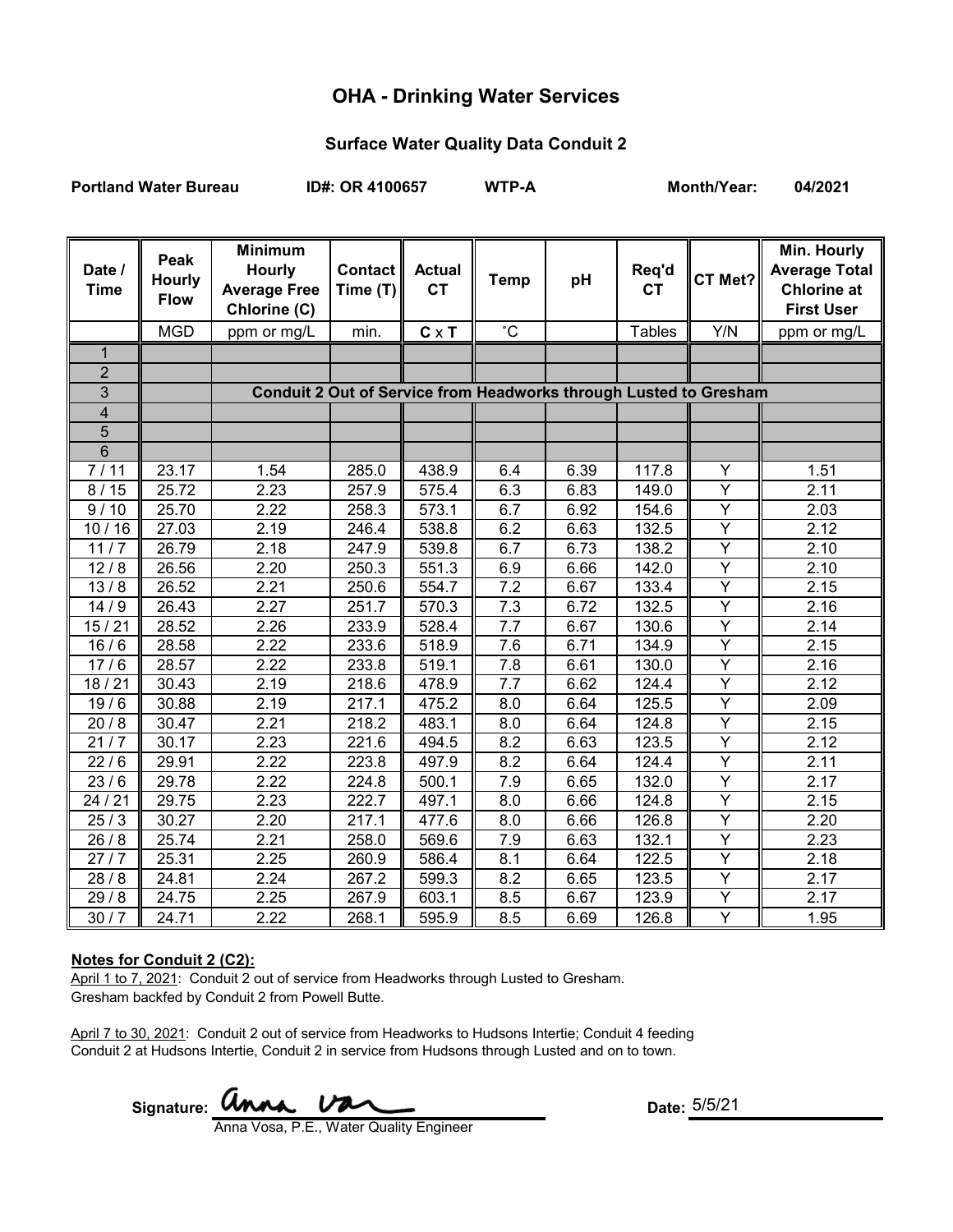# **OHA - Drinking Water Services**

### **Surface Water Quality Data Conduit 2**

**Portland Water Bureau ID#: OR 4100657 WTP-A Month/Year: 04/2021**

| Date /<br><b>Time</b>   | Peak<br><b>Hourly</b><br><b>Flow</b> | <b>Minimum</b><br><b>Hourly</b><br><b>Average Free</b><br>Chlorine (C) | <b>Contact</b><br>Time (T) | <b>Actual</b><br><b>CT</b> | <b>Temp</b>      | pH   | Req'd<br><b>CT</b> | CT Met?        | Min. Hourly<br><b>Average Total</b><br><b>Chlorine at</b><br><b>First User</b> |
|-------------------------|--------------------------------------|------------------------------------------------------------------------|----------------------------|----------------------------|------------------|------|--------------------|----------------|--------------------------------------------------------------------------------|
|                         | <b>MGD</b>                           | ppm or mg/L                                                            | min.                       | $C \times T$               | $^{\circ}$ C     |      | <b>Tables</b>      | Y/N            | ppm or mg/L                                                                    |
| $\mathbf{1}$            |                                      |                                                                        |                            |                            |                  |      |                    |                |                                                                                |
| $\overline{2}$          |                                      |                                                                        |                            |                            |                  |      |                    |                |                                                                                |
| 3                       |                                      | Conduit 2 Out of Service from Headworks through Lusted to Gresham      |                            |                            |                  |      |                    |                |                                                                                |
| $\overline{\mathbf{4}}$ |                                      |                                                                        |                            |                            |                  |      |                    |                |                                                                                |
| $\overline{5}$          |                                      |                                                                        |                            |                            |                  |      |                    |                |                                                                                |
| $\overline{6}$          |                                      |                                                                        |                            |                            |                  |      |                    |                |                                                                                |
| 7/11                    | 23.17                                | 1.54                                                                   | 285.0                      | 438.9                      | 6.4              | 6.39 | 117.8              | Y              | 1.51                                                                           |
| 8/15                    | 25.72                                | 2.23                                                                   | 257.9                      | 575.4                      | 6.3              | 6.83 | 149.0              | Y              | 2.11                                                                           |
| 9/10                    | 25.70                                | 2.22                                                                   | 258.3                      | 573.1                      | 6.7              | 6.92 | 154.6              | $\overline{Y}$ | 2.03                                                                           |
| 10/16                   | 27.03                                | 2.19                                                                   | 246.4                      | 538.8                      | 6.2              | 6.63 | 132.5              | $\overline{Y}$ | 2.12                                                                           |
| 11/7                    | 26.79                                | 2.18                                                                   | 247.9                      | 539.8                      | 6.7              | 6.73 | 138.2              | $\overline{Y}$ | $\overline{2.10}$                                                              |
| 12/8                    | 26.56                                | 2.20                                                                   | 250.3                      | 551.3                      | 6.9              | 6.66 | 142.0              | $\overline{Y}$ | 2.10                                                                           |
| 13/8                    | 26.52                                | 2.21                                                                   | 250.6                      | 554.7                      | 7.2              | 6.67 | 133.4              | Y              | 2.15                                                                           |
| 14/9                    | 26.43                                | 2.27                                                                   | 251.7                      | 570.3                      | 7.3              | 6.72 | 132.5              | $\overline{Y}$ | 2.16                                                                           |
| 15/21                   | 28.52                                | 2.26                                                                   | 233.9                      | 528.4                      | 7.7              | 6.67 | 130.6              | $\overline{Y}$ | 2.14                                                                           |
| 16/6                    | 28.58                                | 2.22                                                                   | 233.6                      | 518.9                      | 7.6              | 6.71 | 134.9              | $\overline{Y}$ | 2.15                                                                           |
| 17/6                    | 28.57                                | 2.22                                                                   | 233.8                      | 519.1                      | 7.8              | 6.61 | 130.0              | $\overline{Y}$ | 2.16                                                                           |
| 18/21                   | 30.43                                | 2.19                                                                   | 218.6                      | 478.9                      | 7.7              | 6.62 | 124.4              | Y              | 2.12                                                                           |
| 19/6                    | 30.88                                | 2.19                                                                   | 217.1                      | 475.2                      | 8.0              | 6.64 | 125.5              | Y              | 2.09                                                                           |
| 20/8                    | 30.47                                | 2.21                                                                   | 218.2                      | 483.1                      | $\overline{8.0}$ | 6.64 | 124.8              | $\overline{Y}$ | 2.15                                                                           |
| 21/7                    | 30.17                                | 2.23                                                                   | 221.6                      | 494.5                      | 8.2              | 6.63 | 123.5              | $\overline{Y}$ | 2.12                                                                           |
| 22/6                    | 29.91                                | 2.22                                                                   | 223.8                      | 497.9                      | 8.2              | 6.64 | 124.4              | Y              | 2.11                                                                           |
| 23/6                    | 29.78                                | 2.22                                                                   | 224.8                      | 500.1                      | 7.9              | 6.65 | 132.0              | $\overline{Y}$ | 2.17                                                                           |
| 24/21                   | 29.75                                | 2.23                                                                   | 222.7                      | 497.1                      | $\overline{8.0}$ | 6.66 | 124.8              | $\overline{Y}$ | 2.15                                                                           |
| 25/3                    | 30.27                                | 2.20                                                                   | 217.1                      | 477.6                      | 8.0              | 6.66 | 126.8              | Y              | 2.20                                                                           |
| 26/8                    | 25.74                                | 2.21                                                                   | 258.0                      | 569.6                      | 7.9              | 6.63 | 132.1              | $\overline{Y}$ | 2.23                                                                           |
| 27/7                    | 25.31                                | 2.25                                                                   | 260.9                      | 586.4                      | 8.1              | 6.64 | 122.5              | $\overline{Y}$ | 2.18                                                                           |
| 28/8                    | 24.81                                | 2.24                                                                   | 267.2                      | 599.3                      | 8.2              | 6.65 | 123.5              | $\overline{Y}$ | 2.17                                                                           |
| 29/8                    | 24.75                                | 2.25                                                                   | 267.9                      | 603.1                      | 8.5              | 6.67 | 123.9              | $\overline{Y}$ | 2.17                                                                           |
| 30/7                    | 24.71                                | 2.22                                                                   | 268.1                      | 595.9                      | 8.5              | 6.69 | 126.8              | Υ              | 1.95                                                                           |

#### **Notes for Conduit 2 (C2):**

April 1 to 7, 2021: Conduit 2 out of service from Headworks through Lusted to Gresham. Gresham backfed by Conduit 2 from Powell Butte.

April 7 to 30, 2021: Conduit 2 out of service from Headworks to Hudsons Intertie; Conduit 4 feeding Conduit 2 at Hudsons Intertie, Conduit 2 in service from Hudsons through Lusted and on to town.

Signature: **WIMA.**  $\overline{V}$ 

Anna Vosa, P.E., Water Quality Engineer

Date: 5/5/21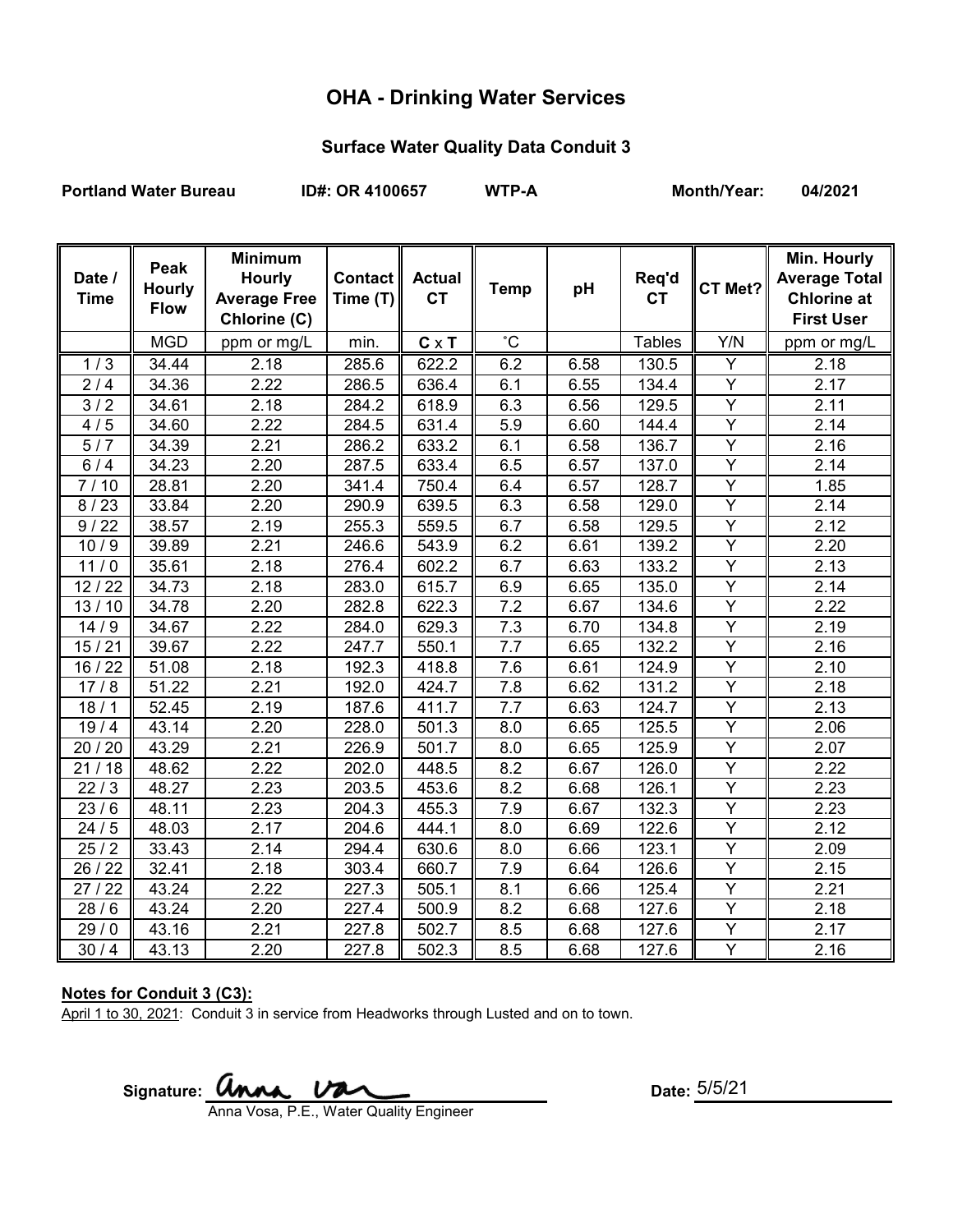# **OHA - Drinking Water Services**

### **Surface Water Quality Data Conduit 3**

Portland Water Bureau **ID#: OR 4100657** WTP-A Month/Year: 04/2021

| Date /<br><b>Time</b> | Peak<br><b>Hourly</b><br><b>Flow</b> | <b>Minimum</b><br><b>Hourly</b><br><b>Average Free</b><br>Chlorine (C) | Contact<br>Time (T) | <b>Actual</b><br><b>CT</b> | <b>Temp</b>      | pH   | Req'd<br><b>CT</b>  | CT Met?                 | Min. Hourly<br><b>Average Total</b><br><b>Chlorine at</b><br><b>First User</b> |
|-----------------------|--------------------------------------|------------------------------------------------------------------------|---------------------|----------------------------|------------------|------|---------------------|-------------------------|--------------------------------------------------------------------------------|
|                       | <b>MGD</b>                           | ppm or mg/L                                                            | min.                | $C \times T$               | $^{\circ}$ C     |      | <b>Tables</b>       | Y/N                     | ppm or mg/L                                                                    |
| 1/3                   | 34.44                                | 2.18                                                                   | 285.6               | 622.2                      | 6.2              | 6.58 | 130.5               | Y                       | 2.18                                                                           |
| 2/4                   | 34.36                                | 2.22                                                                   | 286.5               | 636.4                      | 6.1              | 6.55 | 134.4               | Y                       | 2.17                                                                           |
| 3/2                   | 34.61                                | 2.18                                                                   | 284.2               | 618.9                      | 6.3              | 6.56 | 129.5               | $\overline{\mathsf{Y}}$ | 2.11                                                                           |
| 4/5                   | 34.60                                | 2.22                                                                   | 284.5               | 631.4                      | 5.9              | 6.60 | 144.4               | Y                       | 2.14                                                                           |
| 5/7                   | 34.39                                | 2.21                                                                   | 286.2               | 633.2                      | 6.1              | 6.58 | 136.7               | Υ                       | 2.16                                                                           |
| 6/4                   | 34.23                                | 2.20                                                                   | 287.5               | 633.4                      | 6.5              | 6.57 | 137.0               | $\overline{Y}$          | 2.14                                                                           |
| 7/10                  | 28.81                                | 2.20                                                                   | 341.4               | 750.4                      | 6.4              | 6.57 | 128.7               | Y                       | 1.85                                                                           |
| 8/23                  | 33.84                                | 2.20                                                                   | 290.9               | 639.5                      | 6.3              | 6.58 | 129.0               | $\overline{Y}$          | 2.14                                                                           |
| 9/22                  | 38.57                                | 2.19                                                                   | 255.3               | 559.5                      | 6.7              | 6.58 | 129.5               | Υ                       | 2.12                                                                           |
| 10/9                  | 39.89                                | 2.21                                                                   | 246.6               | 543.9                      | 6.2              | 6.61 | 139.2               | Y                       | 2.20                                                                           |
| 11/0                  | 35.61                                | 2.18                                                                   | 276.4               | 602.2                      | 6.7              | 6.63 | 133.2               | Y                       | 2.13                                                                           |
| 12/22                 | 34.73                                | 2.18                                                                   | 283.0               | 615.7                      | 6.9              | 6.65 | 135.0               | Ÿ                       | 2.14                                                                           |
| 13/10                 | 34.78                                | 2.20                                                                   | 282.8               | 622.3                      | 7.2              | 6.67 | 134.6               | $\overline{Y}$          | 2.22                                                                           |
| 14/9                  | 34.67                                | 2.22                                                                   | 284.0               | 629.3                      | $\overline{7.3}$ | 6.70 | 134.8               | $\overline{Y}$          | 2.19                                                                           |
| 15/21                 | 39.67                                | 2.22                                                                   | 247.7               | 550.1                      | 7.7              | 6.65 | 132.2               | Y                       | 2.16                                                                           |
| 16 / 22               | 51.08                                | 2.18                                                                   | 192.3               | 418.8                      | 7.6              | 6.61 | 124.9               | Y                       | 2.10                                                                           |
| 17/8                  | 51.22                                | 2.21                                                                   | 192.0               | 424.7                      | 7.8              | 6.62 | 131.2               | Ÿ                       | 2.18                                                                           |
| 18/1                  | 52.45                                | 2.19                                                                   | 187.6               | 411.7                      | 7.7              | 6.63 | 124.7               | Y                       | 2.13                                                                           |
| 19/4                  | 43.14                                | 2.20                                                                   | 228.0               | 501.3                      | 8.0              | 6.65 | 125.5               | Y                       | 2.06                                                                           |
| 20 / 20               | 43.29                                | 2.21                                                                   | 226.9               | 501.7                      | 8.0              | 6.65 | 125.9               | Υ                       | 2.07                                                                           |
| 21/18                 | 48.62                                | 2.22                                                                   | 202.0               | 448.5                      | 8.2              | 6.67 | 126.0               | Y                       | 2.22                                                                           |
| 22/3                  | 48.27                                | 2.23                                                                   | 203.5               | 453.6                      | 8.2              | 6.68 | 126.1               | Y                       | 2.23                                                                           |
| 23/6                  | 48.11                                | 2.23                                                                   | 204.3               | 455.3                      | 7.9              | 6.67 | 132.3               | $\overline{Y}$          | 2.23                                                                           |
| 24/5                  | 48.03                                | 2.17                                                                   | 204.6               | 444.1                      | 8.0              | 6.69 | $\overline{1}$ 22.6 | Y                       | 2.12                                                                           |
| 25/2                  | 33.43                                | 2.14                                                                   | 294.4               | 630.6                      | 8.0              | 6.66 | 123.1               | Y                       | 2.09                                                                           |
| 26 / 22               | 32.41                                | 2.18                                                                   | 303.4               | 660.7                      | 7.9              | 6.64 | 126.6               | $\overline{Y}$          | 2.15                                                                           |
| 27/22                 | 43.24                                | 2.22                                                                   | 227.3               | 505.1                      | 8.1              | 6.66 | 125.4               | Y                       | 2.21                                                                           |
| 28/6                  | 43.24                                | 2.20                                                                   | 227.4               | 500.9                      | 8.2              | 6.68 | 127.6               | $\overline{Y}$          | 2.18                                                                           |
| 29/0                  | 43.16                                | 2.21                                                                   | 227.8               | 502.7                      | 8.5              | 6.68 | 127.6               | Y                       | 2.17                                                                           |
| 30/4                  | 43.13                                | 2.20                                                                   | 227.8               | 502.3                      | 8.5              | 6.68 | 127.6               | Y                       | 2.16                                                                           |

### **Notes for Conduit 3 (C3):**

April 1 to 30, 2021: Conduit 3 in service from Headworks through Lusted and on to town.

Signature: **UNAA Date:** Date: Anna Vosa, P.E., Water Quality Engineer

Date:  $5/5/21$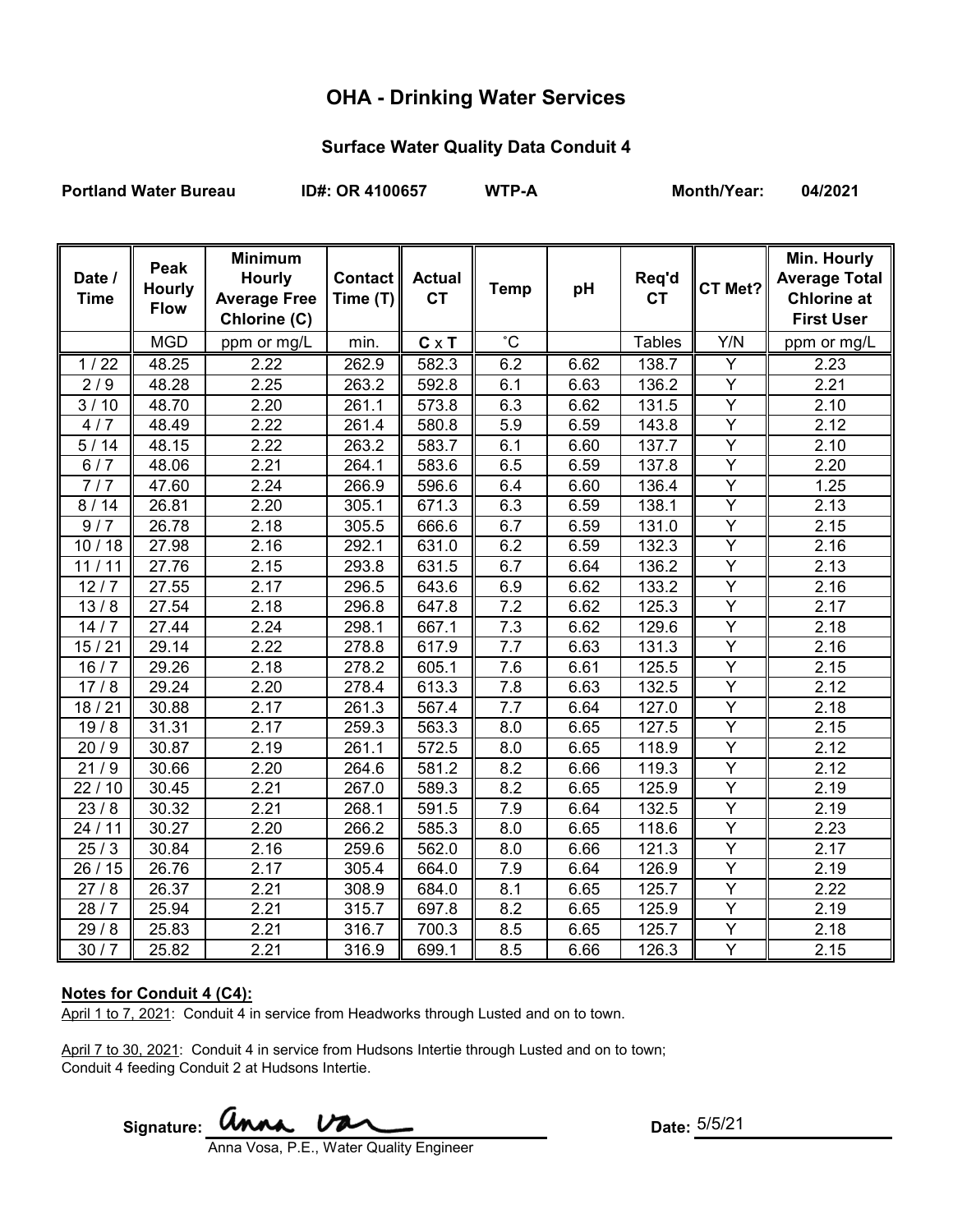# **OHA - Drinking Water Services**

### **Surface Water Quality Data Conduit 4**

Portland Water Bureau **ID#: OR 4100657** WTP-A Month/Year: 04/2021

| Date /<br><b>Time</b> | Peak<br><b>Hourly</b><br><b>Flow</b> | <b>Minimum</b><br><b>Hourly</b><br><b>Average Free</b><br>Chlorine (C) | Contact<br>Time (T) | <b>Actual</b><br><b>CT</b> | <b>Temp</b>      | pH   | Req'd<br><b>CT</b> | CT Met?        | Min. Hourly<br><b>Average Total</b><br><b>Chlorine at</b><br><b>First User</b> |
|-----------------------|--------------------------------------|------------------------------------------------------------------------|---------------------|----------------------------|------------------|------|--------------------|----------------|--------------------------------------------------------------------------------|
|                       | <b>MGD</b>                           | ppm or mg/L                                                            | min.                | $C \times T$               | $^{\circ}C$      |      | <b>Tables</b>      | Y/N            | ppm or mg/L                                                                    |
| $1/22$                | 48.25                                | 2.22                                                                   | 262.9               | 582.3                      | 6.2              | 6.62 | 138.7              | Y              | 2.23                                                                           |
| 2/9                   | 48.28                                | 2.25                                                                   | 263.2               | 592.8                      | 6.1              | 6.63 | 136.2              | $\overline{Y}$ | 2.21                                                                           |
| 3/10                  | 48.70                                | 2.20                                                                   | 261.1               | 573.8                      | 6.3              | 6.62 | 131.5              | $\overline{Y}$ | 2.10                                                                           |
| 4/7                   | 48.49                                | 2.22                                                                   | 261.4               | 580.8                      | 5.9              | 6.59 | 143.8              | $\overline{Y}$ | 2.12                                                                           |
| 5/14                  | 48.15                                | 2.22                                                                   | 263.2               | 583.7                      | 6.1              | 6.60 | 137.7              | $\overline{Y}$ | 2.10                                                                           |
| 6/7                   | 48.06                                | 2.21                                                                   | 264.1               | 583.6                      | 6.5              | 6.59 | 137.8              | Y              | 2.20                                                                           |
| 7/7                   | 47.60                                | 2.24                                                                   | 266.9               | 596.6                      | 6.4              | 6.60 | 136.4              | $\overline{Y}$ | 1.25                                                                           |
| 8/14                  | 26.81                                | 2.20                                                                   | 305.1               | 671.3                      | 6.3              | 6.59 | 138.1              | $\overline{Y}$ | 2.13                                                                           |
| 9/7                   | 26.78                                | 2.18                                                                   | 305.5               | 666.6                      | 6.7              | 6.59 | 131.0              | Y              | 2.15                                                                           |
| 10/18                 | 27.98                                | 2.16                                                                   | 292.1               | 631.0                      | 6.2              | 6.59 | 132.3              | Y              | 2.16                                                                           |
| 11/11                 | 27.76                                | 2.15                                                                   | 293.8               | 631.5                      | 6.7              | 6.64 | 136.2              | Y              | 2.13                                                                           |
| 12/7                  | 27.55                                | 2.17                                                                   | 296.5               | 643.6                      | 6.9              | 6.62 | 133.2              | $\overline{Y}$ | 2.16                                                                           |
| 13/8                  | 27.54                                | 2.18                                                                   | 296.8               | 647.8                      | 7.2              | 6.62 | 125.3              | Y              | $\overline{2}.17$                                                              |
| 14/7                  | 27.44                                | 2.24                                                                   | 298.1               | 667.1                      | $\overline{7.3}$ | 6.62 | 129.6              | $\overline{Y}$ | 2.18                                                                           |
| 15/21                 | 29.14                                | 2.22                                                                   | 278.8               | 617.9                      | 7.7              | 6.63 | 131.3              | $\overline{Y}$ | 2.16                                                                           |
| 16/7                  | 29.26                                | 2.18                                                                   | 278.2               | 605.1                      | 7.6              | 6.61 | 125.5              | $\overline{Y}$ | 2.15                                                                           |
| 17/8                  | 29.24                                | 2.20                                                                   | 278.4               | 613.3                      | 7.8              | 6.63 | 132.5              | $\overline{Y}$ | 2.12                                                                           |
| 18/21                 | 30.88                                | 2.17                                                                   | 261.3               | 567.4                      | 7.7              | 6.64 | 127.0              | Y              | 2.18                                                                           |
| 19/8                  | 31.31                                | 2.17                                                                   | 259.3               | 563.3                      | 8.0              | 6.65 | 127.5              | Y              | 2.15                                                                           |
| 20/9                  | 30.87                                | 2.19                                                                   | 261.1               | 572.5                      | 8.0              | 6.65 | 118.9              | Y              | 2.12                                                                           |
| $\sqrt{21/9}$         | 30.66                                | 2.20                                                                   | 264.6               | 581.2                      | 8.2              | 6.66 | 119.3              | $\overline{Y}$ | 2.12                                                                           |
| 22/10                 | 30.45                                | 2.21                                                                   | 267.0               | 589.3                      | 8.2              | 6.65 | 125.9              | Y              | 2.19                                                                           |
| 23/8                  | 30.32                                | 2.21                                                                   | 268.1               | 591.5                      | $\overline{7.9}$ | 6.64 | 132.5              | $\overline{Y}$ | 2.19                                                                           |
| 24/11                 | 30.27                                | 2.20                                                                   | 266.2               | 585.3                      | 8.0              | 6.65 | 118.6              | $\overline{Y}$ | 2.23                                                                           |
| 25/3                  | 30.84                                | 2.16                                                                   | 259.6               | 562.0                      | 8.0              | 6.66 | 121.3              | Y              | 2.17                                                                           |
| 26 / 15               | 26.76                                | 2.17                                                                   | 305.4               | 664.0                      | 7.9              | 6.64 | 126.9              | $\overline{Y}$ | 2.19                                                                           |
| 27/8                  | 26.37                                | 2.21                                                                   | 308.9               | 684.0                      | 8.1              | 6.65 | 125.7              | Y              | 2.22                                                                           |
| 28/7                  | 25.94                                | 2.21                                                                   | 315.7               | 697.8                      | 8.2              | 6.65 | 125.9              | $\overline{Y}$ | 2.19                                                                           |
| 29/8                  | 25.83                                | 2.21                                                                   | 316.7               | 700.3                      | 8.5              | 6.65 | 125.7              | Υ              | 2.18                                                                           |
| 30/7                  | 25.82                                | 2.21                                                                   | 316.9               | 699.1                      | 8.5              | 6.66 | 126.3              | Y              | 2.15                                                                           |

### **Notes for Conduit 4 (C4):**

April 1 to 7, 2021: Conduit 4 in service from Headworks through Lusted and on to town.

April 7 to 30, 2021: Conduit 4 in service from Hudsons Intertie through Lusted and on to town; Conduit 4 feeding Conduit 2 at Hudsons Intertie.

Signature:  $\mathcal{U}$ 

Date: 5/5/21

Anna Vosa, P.E., Water Quality Engineer